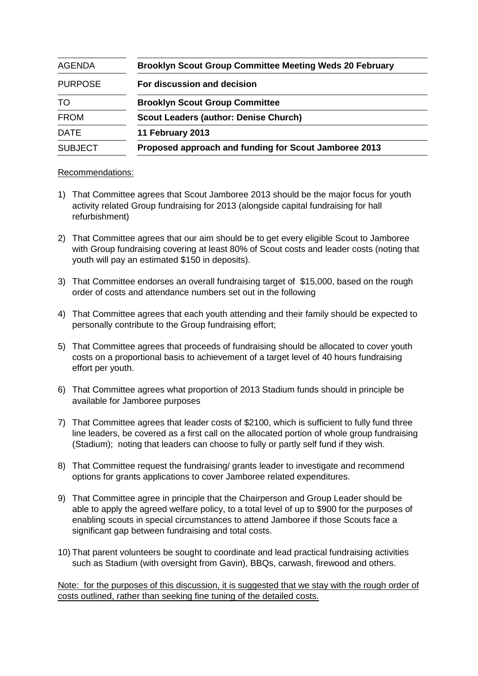| <b>AGENDA</b>  | <b>Brooklyn Scout Group Committee Meeting Weds 20 February</b> |
|----------------|----------------------------------------------------------------|
| <b>PURPOSE</b> | For discussion and decision                                    |
| TO             | <b>Brooklyn Scout Group Committee</b>                          |
| <b>FROM</b>    | <b>Scout Leaders (author: Denise Church)</b>                   |
| <b>DATE</b>    | 11 February 2013                                               |
| <b>SUBJECT</b> | Proposed approach and funding for Scout Jamboree 2013          |

## Recommendations:

- 1) That Committee agrees that Scout Jamboree 2013 should be the major focus for youth activity related Group fundraising for 2013 (alongside capital fundraising for hall refurbishment)
- 2) That Committee agrees that our aim should be to get every eligible Scout to Jamboree with Group fundraising covering at least 80% of Scout costs and leader costs (noting that youth will pay an estimated \$150 in deposits).
- 3) That Committee endorses an overall fundraising target of \$15,000, based on the rough order of costs and attendance numbers set out in the following
- 4) That Committee agrees that each youth attending and their family should be expected to personally contribute to the Group fundraising effort;
- 5) That Committee agrees that proceeds of fundraising should be allocated to cover youth costs on a proportional basis to achievement of a target level of 40 hours fundraising effort per youth.
- 6) That Committee agrees what proportion of 2013 Stadium funds should in principle be available for Jamboree purposes
- 7) That Committee agrees that leader costs of \$2100, which is sufficient to fully fund three line leaders, be covered as a first call on the allocated portion of whole group fundraising (Stadium); noting that leaders can choose to fully or partly self fund if they wish.
- 8) That Committee request the fundraising/ grants leader to investigate and recommend options for grants applications to cover Jamboree related expenditures.
- 9) That Committee agree in principle that the Chairperson and Group Leader should be able to apply the agreed welfare policy, to a total level of up to \$900 for the purposes of enabling scouts in special circumstances to attend Jamboree if those Scouts face a significant gap between fundraising and total costs.
- 10) That parent volunteers be sought to coordinate and lead practical fundraising activities such as Stadium (with oversight from Gavin), BBQs, carwash, firewood and others.

Note: for the purposes of this discussion, it is suggested that we stay with the rough order of costs outlined, rather than seeking fine tuning of the detailed costs.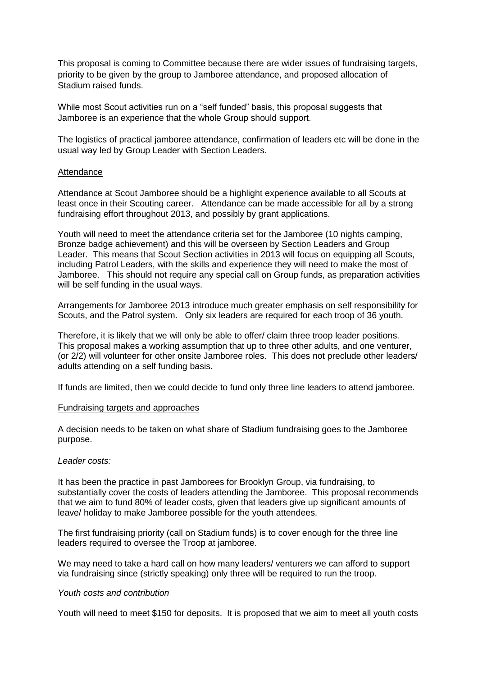This proposal is coming to Committee because there are wider issues of fundraising targets, priority to be given by the group to Jamboree attendance, and proposed allocation of Stadium raised funds.

While most Scout activities run on a "self funded" basis, this proposal suggests that Jamboree is an experience that the whole Group should support.

The logistics of practical jamboree attendance, confirmation of leaders etc will be done in the usual way led by Group Leader with Section Leaders.

### **Attendance**

Attendance at Scout Jamboree should be a highlight experience available to all Scouts at least once in their Scouting career. Attendance can be made accessible for all by a strong fundraising effort throughout 2013, and possibly by grant applications.

Youth will need to meet the attendance criteria set for the Jamboree (10 nights camping, Bronze badge achievement) and this will be overseen by Section Leaders and Group Leader. This means that Scout Section activities in 2013 will focus on equipping all Scouts, including Patrol Leaders, with the skills and experience they will need to make the most of Jamboree. This should not require any special call on Group funds, as preparation activities will be self funding in the usual ways.

Arrangements for Jamboree 2013 introduce much greater emphasis on self responsibility for Scouts, and the Patrol system. Only six leaders are required for each troop of 36 youth.

Therefore, it is likely that we will only be able to offer/ claim three troop leader positions. This proposal makes a working assumption that up to three other adults, and one venturer, (or 2/2) will volunteer for other onsite Jamboree roles. This does not preclude other leaders/ adults attending on a self funding basis.

If funds are limited, then we could decide to fund only three line leaders to attend jamboree.

#### Fundraising targets and approaches

A decision needs to be taken on what share of Stadium fundraising goes to the Jamboree purpose.

#### *Leader costs:*

It has been the practice in past Jamborees for Brooklyn Group, via fundraising, to substantially cover the costs of leaders attending the Jamboree. This proposal recommends that we aim to fund 80% of leader costs, given that leaders give up significant amounts of leave/ holiday to make Jamboree possible for the youth attendees.

The first fundraising priority (call on Stadium funds) is to cover enough for the three line leaders required to oversee the Troop at jamboree.

We may need to take a hard call on how many leaders/ venturers we can afford to support via fundraising since (strictly speaking) only three will be required to run the troop.

### *Youth costs and contribution*

Youth will need to meet \$150 for deposits. It is proposed that we aim to meet all youth costs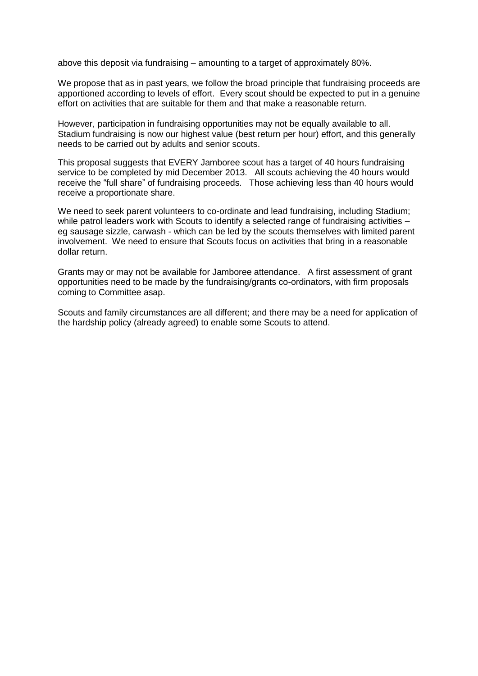above this deposit via fundraising – amounting to a target of approximately 80%.

We propose that as in past years, we follow the broad principle that fundraising proceeds are apportioned according to levels of effort. Every scout should be expected to put in a genuine effort on activities that are suitable for them and that make a reasonable return.

However, participation in fundraising opportunities may not be equally available to all. Stadium fundraising is now our highest value (best return per hour) effort, and this generally needs to be carried out by adults and senior scouts.

This proposal suggests that EVERY Jamboree scout has a target of 40 hours fundraising service to be completed by mid December 2013. All scouts achieving the 40 hours would receive the "full share" of fundraising proceeds. Those achieving less than 40 hours would receive a proportionate share.

We need to seek parent volunteers to co-ordinate and lead fundraising, including Stadium; while patrol leaders work with Scouts to identify a selected range of fundraising activities – eg sausage sizzle, carwash - which can be led by the scouts themselves with limited parent involvement. We need to ensure that Scouts focus on activities that bring in a reasonable dollar return.

Grants may or may not be available for Jamboree attendance. A first assessment of grant opportunities need to be made by the fundraising/grants co-ordinators, with firm proposals coming to Committee asap.

Scouts and family circumstances are all different; and there may be a need for application of the hardship policy (already agreed) to enable some Scouts to attend.